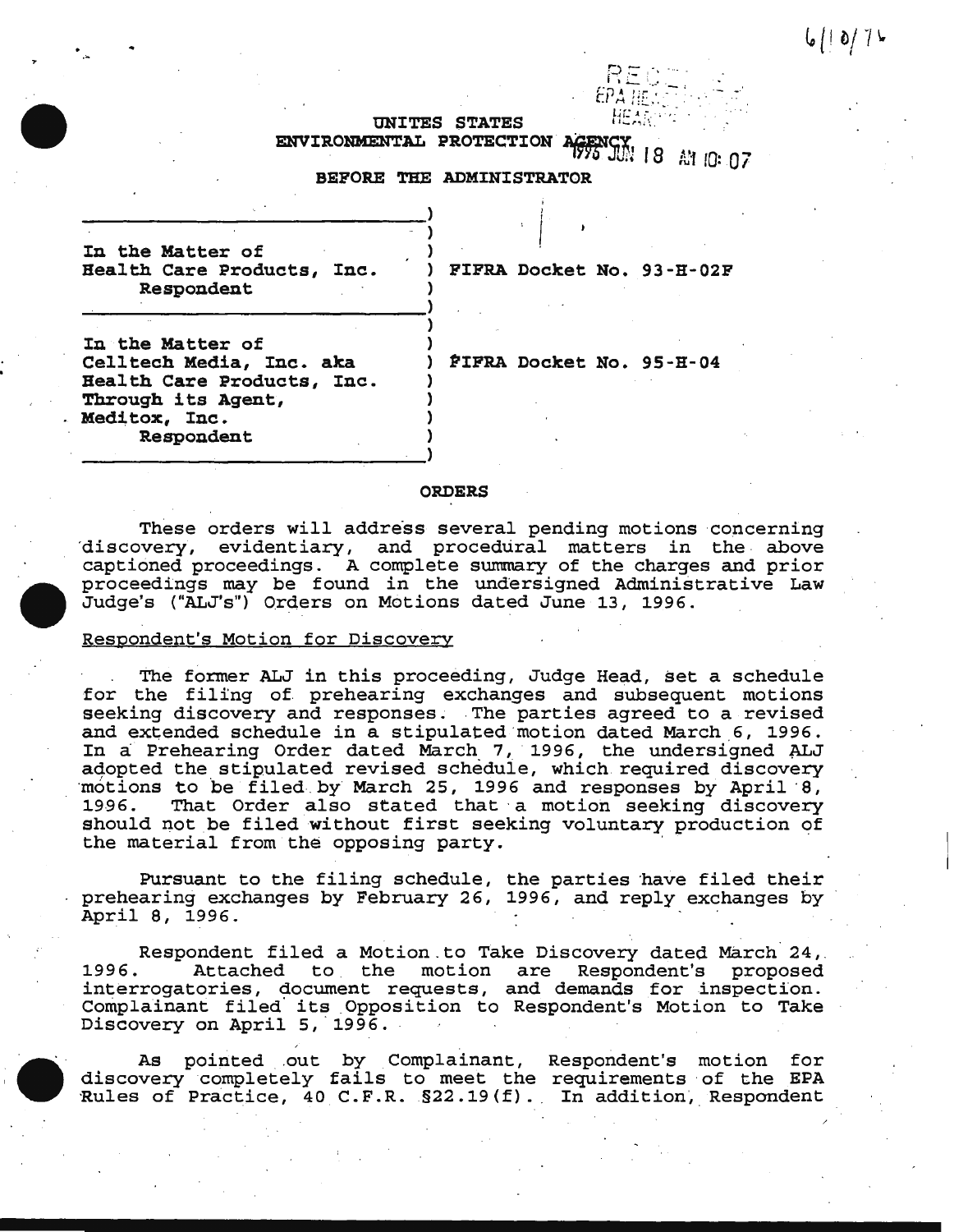UNITES STATES ENVIRONMENTAL PROTECTION AGENCY 18 A1 10: 07

 $RE\subset$ 

# BEFORE THE ADMINISTRATOR

) )

)

) ) ) ) ) ) )

In the Matter of Health Care Products, Inc. Respondent

\_\_\_\_\_\_\_\_\_\_\_\_\_\_\_\_\_\_\_\_\_\_\_\_\_\_\_\_\_\_\_ )

~------------------------------->

------------------~--------------------~------>

) PIPRA Docket No. 93-H-02P

i /  $\cdot$   $\Big\}$ 

In the Matter of Celltech Media, Inc. aka Health Care Products, Inc. Through its Agent, Meditox, Inc. Respondent

~IPRA Docket No. 95-H-04

## ORDERS

These orders will address several pending motions concerning discovery, evidentiary, and procedural matters in the above captioned proceedings. A complete summary of the charges and prior proceedings may be found in the undersigned Administrative Law Judge's ("ALJ's") Ord,ers on Motions dated June 13, 1996.

# Respondent's Motion for Discovery

The former ALJ in this proceeding, Judge Head, set a schedule for the filing of prehearing exchanges and subsequent motions seeking discovery and responses. The parties agreed to a revised and extended schedule in a stipulated motion dated March 6, 1996. In a Prehearing Order dated March 7, 1996, the undersigned ALJ adopted the stipulated revised schedule, which required discovery motions to be filed by March 25, 1996 and responses by April 8,<br>1996. That Order also stated that a motion seeking discovery That Order also stated that a motion seeking discovery should not be filed without first seeking voluntary production of the material from the opposing party.

Pursuant to the filing schedule, the parties have filed their prehearing exchanges by February 26, 1996, and reply exchanges by April 8, 1996.

.,Respondent filed a Motion to Take Discovery dated March 24<br>1996. Attached to the motion are Respondent's proposed Attached to the motion are Respondent's proposed interrogatories, document requests, and demands for inspection. Complainant filed· its \_Opposition to Respondent's Motion to Take Discovery on April 5, 1996.

As pointed out by Complainant, Respondent's motion for discovery completely fails to meet the requirements ·of the EPA Rules of Practice, 40 C.F.R.  $\S 22.19(f)$ . In addition, Respondent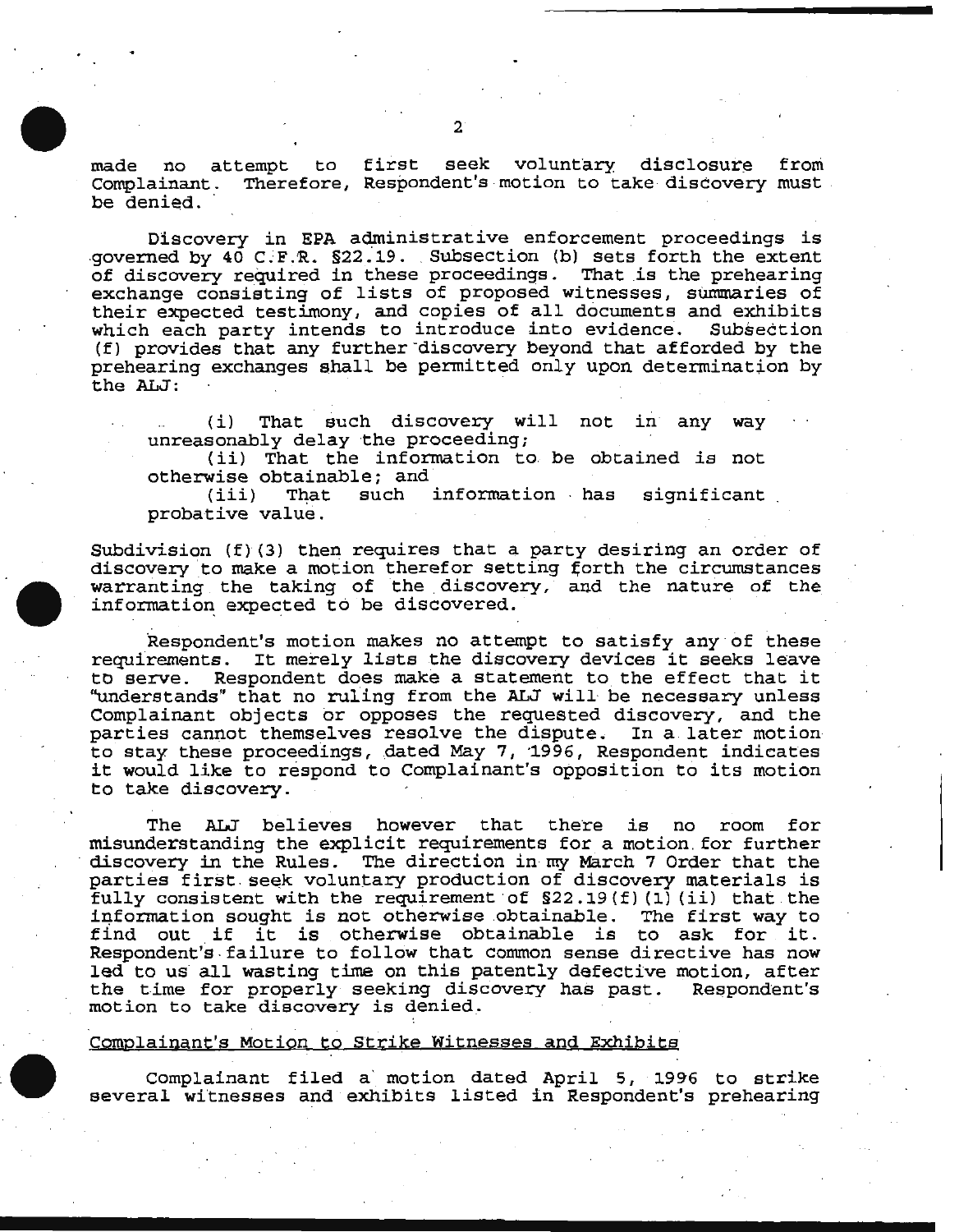made no attempt to first seek voluntary disclosure from Complainant. Therefore, Respondent's motion to take discovery must be denied.

Discovery in EPA administrative enforcement proceedings is .governed by  $40 \text{ C.F.R. } $22.19$ . Subsection (b) sets forth the extent of discovery required in these proceedings. That is the prehearing exchange consisting of lists of proposed witnesses, summaries of their expected testimony, and copies of all documents and exhibits which each party intends to introduce into evidence. Subsection which each party intends to introduce into evidence. (f) provides that any further -discovery beyond that afforded by the prehearing exchanges shall be permitted only upon determination by p-chearing enemanges cames as permasses<br>the ALJ:

(i) That such discovery will not in any way unreasonably delay the proceeding;

( ii) That the information to be obtained *is* not otherwise obtainable; and<br>(iii) That such

information has significant probative value.

Subdivision (f) (3) then requires that a party desiring an order of discovery to make a motion therefor setting forth the circumstances warranting the taking of the discovery, and the nature of the information expected to be discovered.

Respondent's motion makes no attempt to satisfy any ·of these requirements. It merely lists the discovery devices it seeks leave to serve. Respondent does make a statement to the effect that it "understands" that no ruling from the ALJ will· be necessary unless Complainant objects or opposes the requested discovery, and the parties cannot themselves resolve the dispute. In a later motion to stay these proceedings, dated May 7, 1996, Respondent indicates it would like to respond to Complainant's opposition to its motion to take discovery.

The ALJ believes however that there is no room for misunderstanding the explicit requirements for a motion. for further discovery in the Rules. The direction in· my March 7 Order that the parties first seek voluntary production of discovery materials is fully consistent with the requirement of  $$22.19(f)(1)(ii)$  that the information sought is not otherwise obtainable. The first way to information sought is not otherwise obtainable. find out if it is otherwise obtainable is to ask for it. Respondent's . failure to follow that common sense directive has now led to us all wasting time on this patently defective motion, after the time for properly seeking discovery has past. Respondent's motion to take discovery is denied.

#### Complainant's Motion to Strike Witnesses and Exhibits

Complainant filed a ' motion dated April 5, 1996 to strike several witnesses and exhibits listed in Respondent's prehearing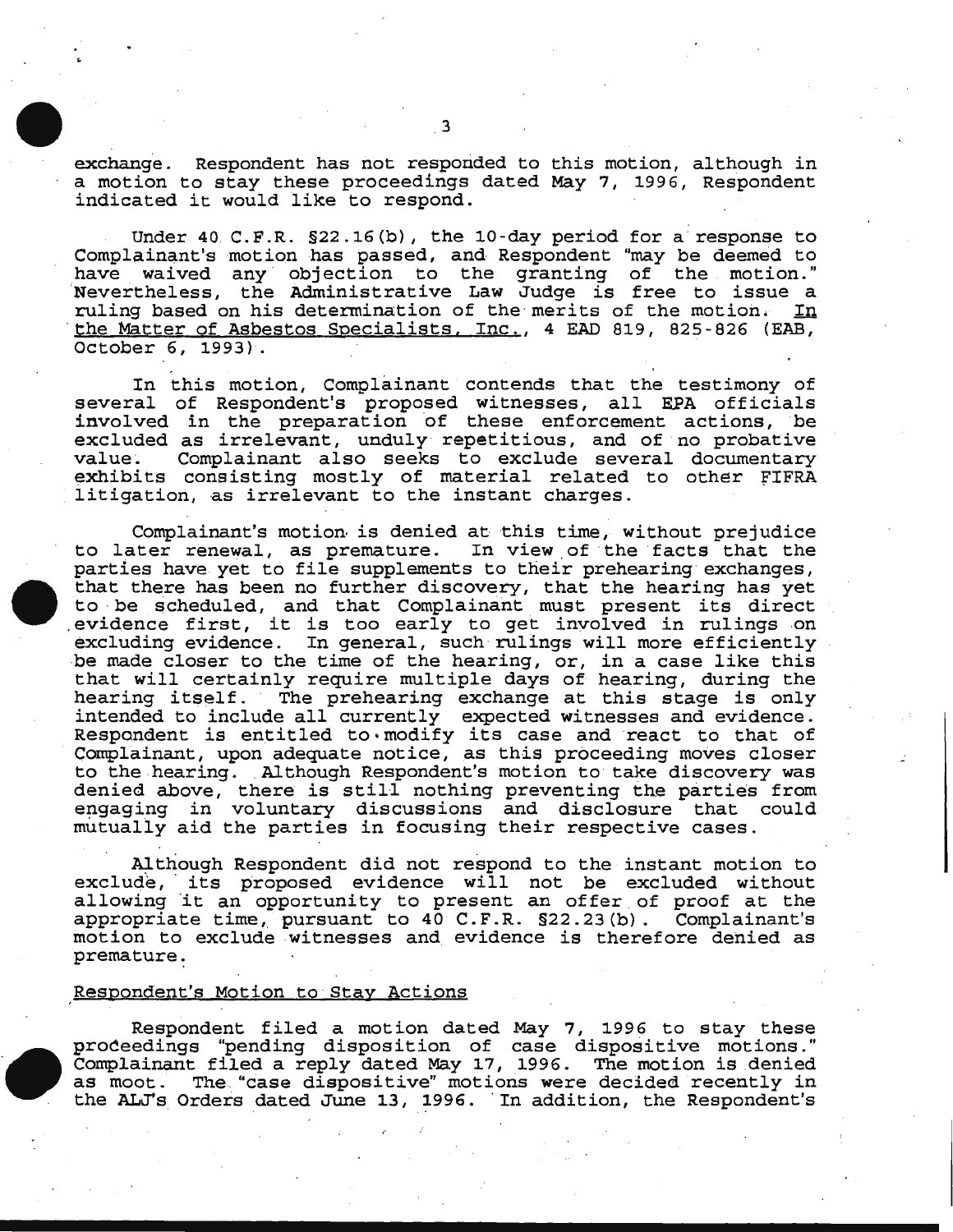exchange. Respondent has not responded to this motion, although in a motion to stay these proceedings dated May 7, 1996, Respondent indicated it would like to respond.

Under 40 C.F.R. §22.16(b), the 10-day period for a response to Complainant's motion has passed, and Respondent "may be deemed to have waived any objection to the granting of the motion." 'Nevertheless, the Administrative Law Judge is free to issue a ruling based on his determination of the merits of the motion. In the Matter of Asbestos Specialists, Inc., 4 EAD 819, 825-826 (EAB, October 6, 1993).

In this motion, Complainant contends that the testimony of several of Respondent's proposed witnesses, all EPA officials involved in the preparation of these enforcement actions, be excluded as irrelevant, unduly repetitious, and of no probative value. Complainant also seeks to exclude several documentary Complainant also seeks to exclude several documentary exhibits consisting mostly of material related to other fiFRA litigation, as irrelevant to the instant charges.

Complainant's motion· is denied at this time, without prejudice to later renewal, as premature. In view of the facts that the parties have yet to file supplements to their prehearing exchanges, that there has been no further discovery, that the hearing has yet to be scheduled, and that Complainant must present its direct . evidence first, it is too early to get involved *in* rulings on excluding evidence. In general, such rulings will more efficiently ·be made closer to the time of the hearing, or, in a case like this that will certainly require multiple days of hearing, during the hearing itself. The prehearing exchange at this stage is only intended to include all currently expected witnesses and evidence. Respondent is entitled to modify its case and react to that of Complainant, upon adequate notice, as this proceeding moves closer to the hearing. Although Respondent's motion to take discovery was denied above, there is still nothing preventing the parties from engaging in voluntary discussions and disclosure that could mutually aid the parties *in* focusing their respective cases.

. . . Although Respondent did not respond to the instant motion to exclude, its proposed evidence will not be excluded without allowing it an opportunity to present an offer of proof at the appropriate time, pursuant to 40 C.F.R. *§22.23* (b). Complainant's motion to exclude witnesses and evidence is therefore denied as premature:

#### Respondent's Motion to Stay Actions

Respondent filed a motion dated May 7, 1996 to stay these proceedings "pending disposition of case dispositive motions." Complainant filed a reply dated May 17, 1996. The motion *is* denied The "case dispositive" motions were decided recently in the ALJ's Orders dated June 13, 1996. In addition, the Respondent's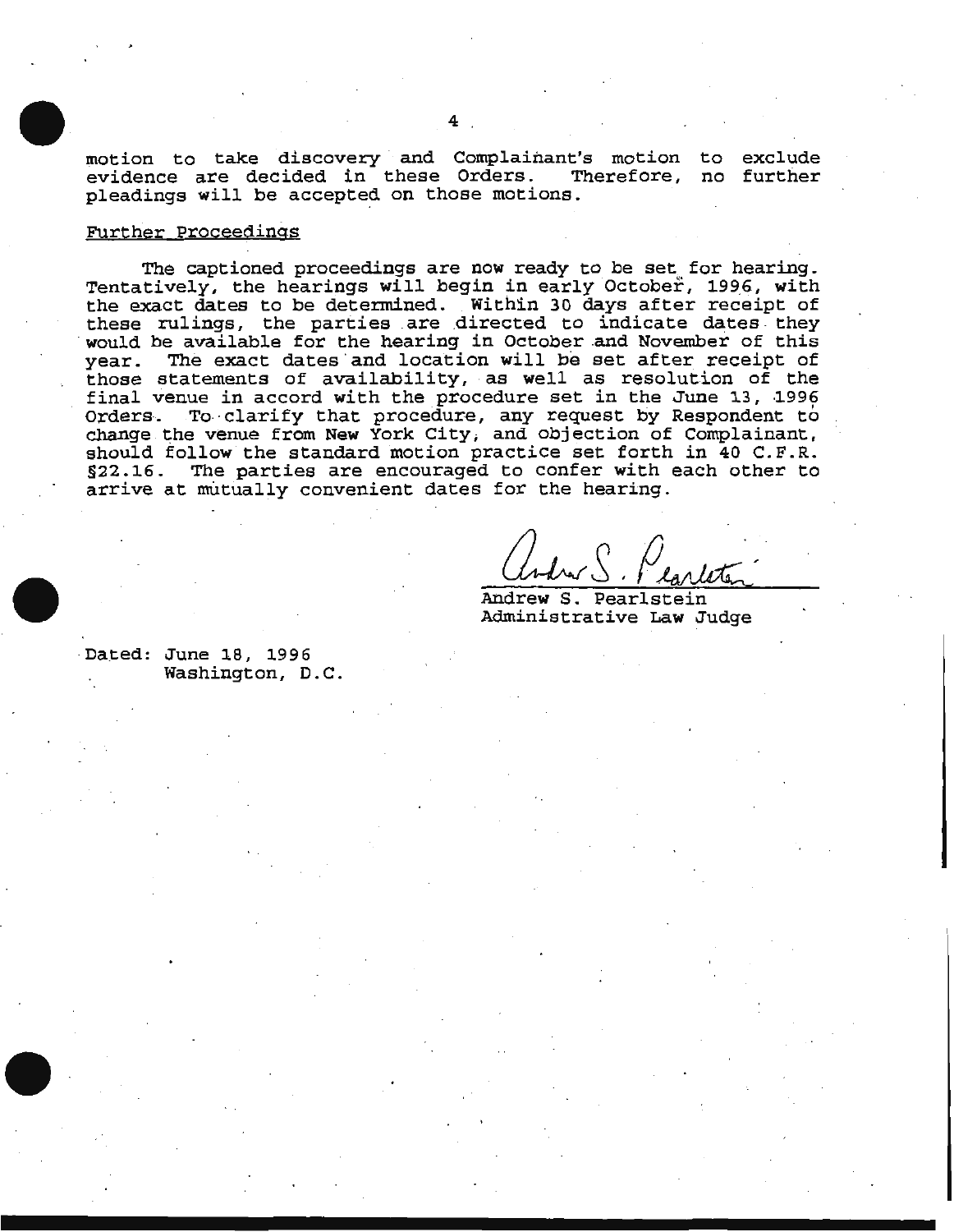motion to take discovery and Complainant's motion to exclude evidence are decided in these Orders. Therefore, no further pleadings will be accepted on those motions.

#### Further Proceedings

The captioned proceedings are now ready to be set for hearing. Tentatively, the hearings will begin in early October, 1996, with the exact dates to be determined. Within 30 days after receipt of these rulings, the parties are directed to indicate dates they would be available for the hearing in October and November of this year. The exact dates and location will be set after receipt of those statements of availability, as well as resolution of the final venue in accord with the procedure set in the June 13, 1996 Orders. To clarify that procedure, any request by Respondent to change the venue from New York City, and objection of Complainant, should follow the standard motion practice set forth in 40 C.F.R. §22.16. The parties are encouraged to confer with each other to arrive at mutually convenient dates for the hearing.

Andrew S. Pearlstein Administrative Law Judge

Dated: June 18, 1996 Washington, D.C.